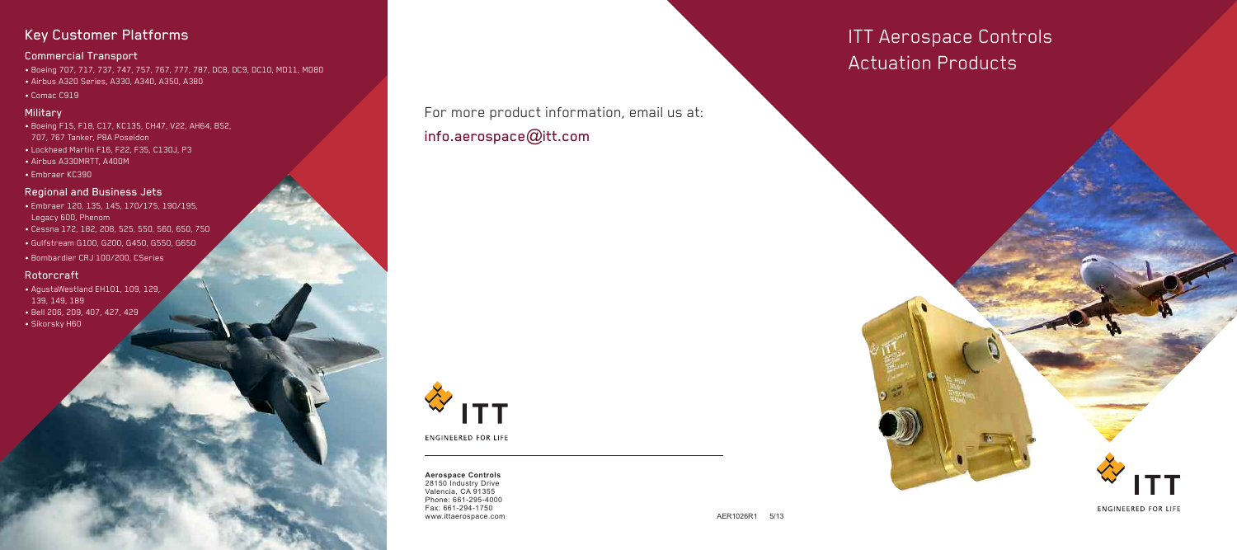ITT Aerospace Controls Actuation Products

### **Aerospace Controls** 28150 Industry Drive Valencia, CA 91355 Phone: 661-295-4000 Fax: 661-294-1750 www.ittaerospace.com and the set of the set of the set of the set of the set of the set of the set of the set of the set of the set of the set of the set of the set of the set of the set of the set of the set of the set of

**ENGINEERED FOR LIFE** 

# Key Customer Platforms

# Commercial Transport

- Boeing 707, 717, 737, 747, 757, 767, 777, 787, DC8, DC9, DC10, MD11, MD80
- Airbus A320 Series, A330, A340, A350, A380
- Comac C919

## **Military**

- Boeing F15, F18, C17, KC135, CH47, V22, AH64, B52, 707, 767 Tanker, P8A Poseidon
- Lockheed Martin F16, F22, F35, C130J, P3
- Airbus A330MRTT, A400M
- Embraer KC390

# Regional and Business Jets

- Embraer 120, 135, 145, 170/175, 190/195, Legacy 600, Phenom
- Cessna 172, 182, 208, 525, 550, 560, 650, 750
- Gulfstream G100, G200, G450, G550, G650
- Bombardier CRJ 100/200, CSeries

## Rotorcraft

- AgustaWestland EH101, 109, 129, 139, 149, 189
- Bell 206, 209, 407, 427, 429
- Sikorsky H60

# For more product information, email us at: info.aerospace@itt.com



**ENGINEERED FOR LIFE**